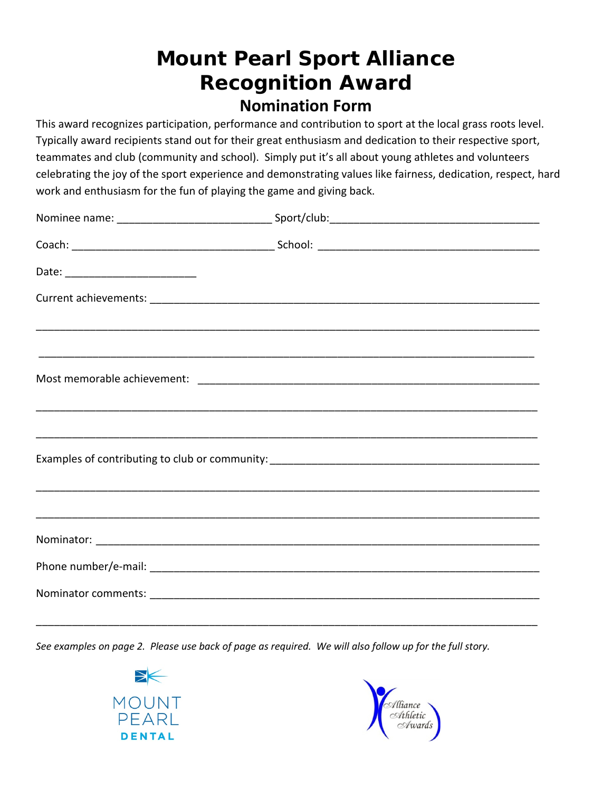## **Mount Pearl Sport Alliance Recognition Award Nomination Form**

This award recognizes participation, performance and contribution to sport at the local grass roots level. Typically award recipients stand out for their great enthusiasm and dedication to their respective sport, teammates and club (community and school). Simply put it's all about young athletes and volunteers celebrating the joy of the sport experience and demonstrating values like fairness, dedication, respect, hard work and enthusiasm for the fun of playing the game and giving back.

*See examples on page 2. Please use back of page as required. We will also follow up for the full story.* 

\_\_\_\_\_\_\_\_\_\_\_\_\_\_\_\_\_\_\_\_\_\_\_\_\_\_\_\_\_\_\_\_\_\_\_\_\_\_\_\_\_\_\_\_\_\_\_\_\_\_\_\_\_\_\_\_\_\_\_\_\_\_\_\_\_\_\_\_\_\_\_\_\_\_\_\_\_\_\_\_\_\_\_\_